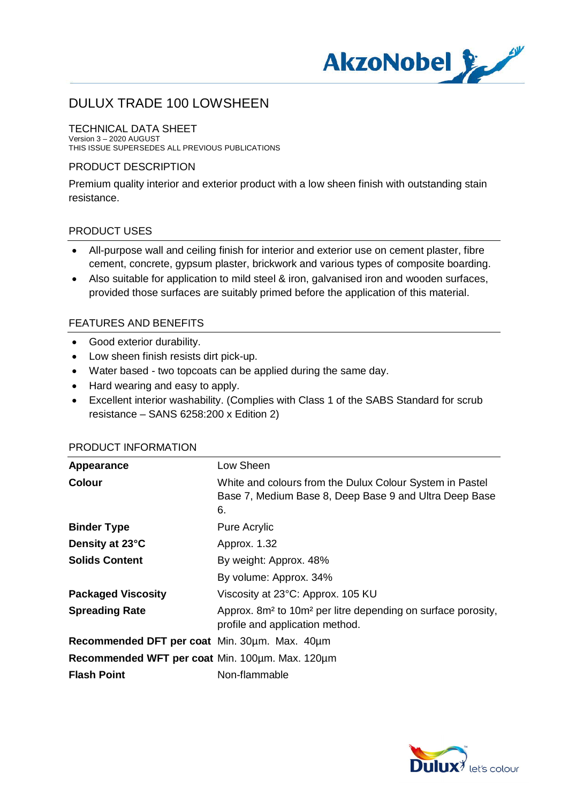

#### TECHNICAL DATA SHEET

Version 3 – 2020 AUGUST THIS ISSUE SUPERSEDES ALL PREVIOUS PUBLICATIONS

#### PRODUCT DESCRIPTION

Premium quality interior and exterior product with a low sheen finish with outstanding stain resistance.

#### PRODUCT USES

- · All-purpose wall and ceiling finish for interior and exterior use on cement plaster, fibre cement, concrete, gypsum plaster, brickwork and various types of composite boarding.
- · Also suitable for application to mild steel & iron, galvanised iron and wooden surfaces, provided those surfaces are suitably primed before the application of this material.

#### FEATURES AND BENEFITS

- · Good exterior durability.
- · Low sheen finish resists dirt pick-up.
- · Water based two topcoats can be applied during the same day.
- · Hard wearing and easy to apply.
- · Excellent interior washability. (Complies with Class 1 of the SABS Standard for scrub resistance – SANS 6258:200 x Edition 2)

| Appearance                                      | Low Sheen                                                                                                                |
|-------------------------------------------------|--------------------------------------------------------------------------------------------------------------------------|
| <b>Colour</b>                                   | White and colours from the Dulux Colour System in Pastel<br>Base 7, Medium Base 8, Deep Base 9 and Ultra Deep Base<br>6. |
| <b>Binder Type</b>                              | <b>Pure Acrylic</b>                                                                                                      |
| Density at 23°C                                 | Approx. 1.32                                                                                                             |
| <b>Solids Content</b>                           | By weight: Approx. 48%                                                                                                   |
|                                                 | By volume: Approx. 34%                                                                                                   |
| <b>Packaged Viscosity</b>                       | Viscosity at 23°C: Approx. 105 KU                                                                                        |
| <b>Spreading Rate</b>                           | Approx. 8m <sup>2</sup> to 10m <sup>2</sup> per litre depending on surface porosity,<br>profile and application method.  |
| Recommended DFT per coat Min. 30um. Max. 40um   |                                                                                                                          |
| Recommended WFT per coat Min. 100um. Max. 120um |                                                                                                                          |
| <b>Flash Point</b>                              | Non-flammable                                                                                                            |

#### PRODUCT INFORMATION

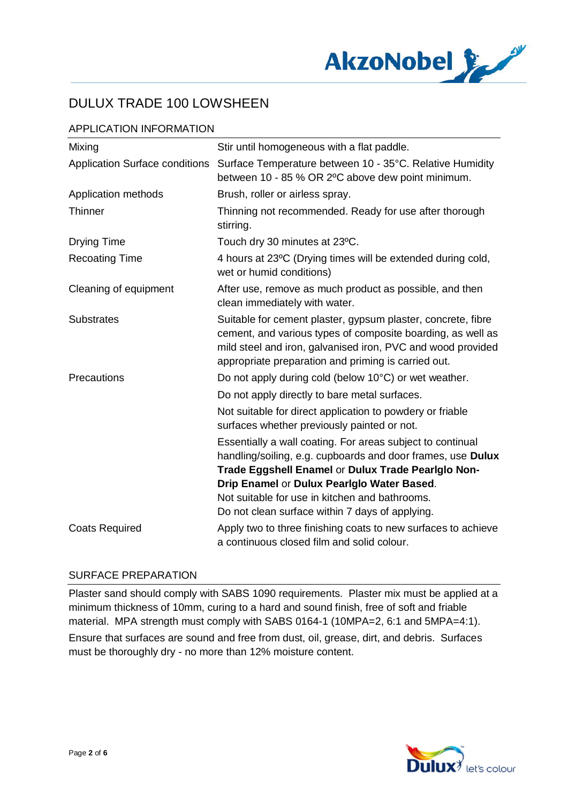

## APPLICATION INFORMATION

| Mixing                                | Stir until homogeneous with a flat paddle.                                                                                                                                                                                                                                                                                         |
|---------------------------------------|------------------------------------------------------------------------------------------------------------------------------------------------------------------------------------------------------------------------------------------------------------------------------------------------------------------------------------|
| <b>Application Surface conditions</b> | Surface Temperature between 10 - 35°C. Relative Humidity<br>between 10 - 85 % OR 2°C above dew point minimum.                                                                                                                                                                                                                      |
| Application methods                   | Brush, roller or airless spray.                                                                                                                                                                                                                                                                                                    |
| <b>Thinner</b>                        | Thinning not recommended. Ready for use after thorough<br>stirring.                                                                                                                                                                                                                                                                |
| <b>Drying Time</b>                    | Touch dry 30 minutes at 23°C.                                                                                                                                                                                                                                                                                                      |
| <b>Recoating Time</b>                 | 4 hours at 23°C (Drying times will be extended during cold,<br>wet or humid conditions)                                                                                                                                                                                                                                            |
| Cleaning of equipment                 | After use, remove as much product as possible, and then<br>clean immediately with water.                                                                                                                                                                                                                                           |
| <b>Substrates</b>                     | Suitable for cement plaster, gypsum plaster, concrete, fibre<br>cement, and various types of composite boarding, as well as<br>mild steel and iron, galvanised iron, PVC and wood provided<br>appropriate preparation and priming is carried out.                                                                                  |
| Precautions                           | Do not apply during cold (below 10°C) or wet weather.                                                                                                                                                                                                                                                                              |
|                                       | Do not apply directly to bare metal surfaces.                                                                                                                                                                                                                                                                                      |
|                                       | Not suitable for direct application to powdery or friable<br>surfaces whether previously painted or not.                                                                                                                                                                                                                           |
|                                       | Essentially a wall coating. For areas subject to continual<br>handling/soiling, e.g. cupboards and door frames, use Dulux<br>Trade Eggshell Enamel or Dulux Trade Pearlglo Non-<br>Drip Enamel or Dulux Pearlglo Water Based.<br>Not suitable for use in kitchen and bathrooms.<br>Do not clean surface within 7 days of applying. |
| <b>Coats Required</b>                 | Apply two to three finishing coats to new surfaces to achieve<br>a continuous closed film and solid colour.                                                                                                                                                                                                                        |

#### SURFACE PREPARATION

Plaster sand should comply with SABS 1090 requirements. Plaster mix must be applied at a minimum thickness of 10mm, curing to a hard and sound finish, free of soft and friable material. MPA strength must comply with SABS 0164-1 (10MPA=2, 6:1 and 5MPA=4:1).

Ensure that surfaces are sound and free from dust, oil, grease, dirt, and debris. Surfaces must be thoroughly dry - no more than 12% moisture content.

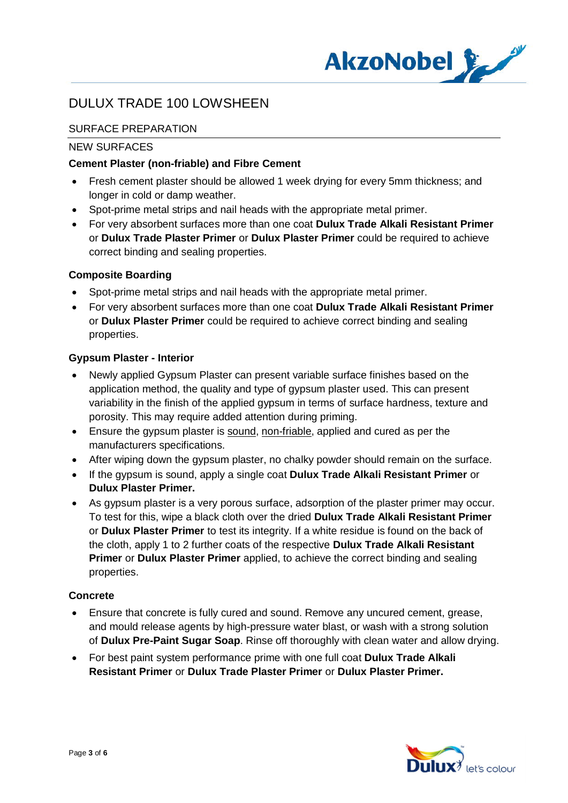

## SURFACE PREPARATION

#### NEW SURFACES

### **Cement Plaster (non-friable) and Fibre Cement**

- · Fresh cement plaster should be allowed 1 week drying for every 5mm thickness; and longer in cold or damp weather.
- · Spot-prime metal strips and nail heads with the appropriate metal primer.
- · For very absorbent surfaces more than one coat **Dulux Trade Alkali Resistant Primer** or **Dulux Trade Plaster Primer** or **Dulux Plaster Primer** could be required to achieve correct binding and sealing properties.

### **Composite Boarding**

- Spot-prime metal strips and nail heads with the appropriate metal primer.
- · For very absorbent surfaces more than one coat **Dulux Trade Alkali Resistant Primer** or **Dulux Plaster Primer** could be required to achieve correct binding and sealing properties.

#### **Gypsum Plaster - Interior**

- Newly applied Gypsum Plaster can present variable surface finishes based on the application method, the quality and type of gypsum plaster used. This can present variability in the finish of the applied gypsum in terms of surface hardness, texture and porosity. This may require added attention during priming.
- Ensure the gypsum plaster is sound, non-friable, applied and cured as per the manufacturers specifications.
- After wiping down the gypsum plaster, no chalky powder should remain on the surface.
- · If the gypsum is sound, apply a single coat **Dulux Trade Alkali Resistant Primer** or **Dulux Plaster Primer.**
- · As gypsum plaster is a very porous surface, adsorption of the plaster primer may occur. To test for this, wipe a black cloth over the dried **Dulux Trade Alkali Resistant Primer** or **Dulux Plaster Primer** to test its integrity. If a white residue is found on the back of the cloth, apply 1 to 2 further coats of the respective **Dulux Trade Alkali Resistant Primer** or **Dulux Plaster Primer** applied, to achieve the correct binding and sealing properties.

#### **Concrete**

- · Ensure that concrete is fully cured and sound. Remove any uncured cement, grease, and mould release agents by high-pressure water blast, or wash with a strong solution of **Dulux Pre-Paint Sugar Soap**. Rinse off thoroughly with clean water and allow drying.
- · For best paint system performance prime with one full coat **Dulux Trade Alkali Resistant Primer** or **Dulux Trade Plaster Primer** or **Dulux Plaster Primer.**

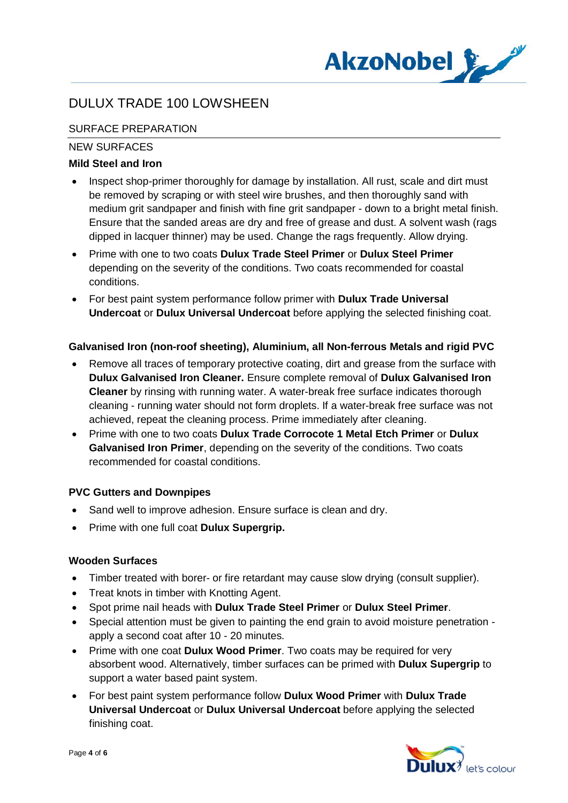

## SURFACE PREPARATION

#### NEW SURFACES

### **Mild Steel and Iron**

- Inspect shop-primer thoroughly for damage by installation. All rust, scale and dirt must be removed by scraping or with steel wire brushes, and then thoroughly sand with medium grit sandpaper and finish with fine grit sandpaper - down to a bright metal finish. Ensure that the sanded areas are dry and free of grease and dust. A solvent wash (rags dipped in lacquer thinner) may be used. Change the rags frequently. Allow drying.
- · Prime with one to two coats **Dulux Trade Steel Primer** or **Dulux Steel Primer** depending on the severity of the conditions. Two coats recommended for coastal conditions.
- · For best paint system performance follow primer with **Dulux Trade Universal Undercoat** or **Dulux Universal Undercoat** before applying the selected finishing coat.

### **Galvanised Iron (non-roof sheeting), Aluminium, all Non-ferrous Metals and rigid PVC**

- · Remove all traces of temporary protective coating, dirt and grease from the surface with **Dulux Galvanised Iron Cleaner.** Ensure complete removal of **Dulux Galvanised Iron Cleaner** by rinsing with running water. A water-break free surface indicates thorough cleaning - running water should not form droplets. If a water-break free surface was not achieved, repeat the cleaning process. Prime immediately after cleaning.
- · Prime with one to two coats **Dulux Trade Corrocote 1 Metal Etch Primer** or **Dulux Galvanised Iron Primer**, depending on the severity of the conditions. Two coats recommended for coastal conditions.

### **PVC Gutters and Downpipes**

- Sand well to improve adhesion. Ensure surface is clean and dry.
- · Prime with one full coat **Dulux Supergrip.**

#### **Wooden Surfaces**

- · Timber treated with borer- or fire retardant may cause slow drying (consult supplier).
- · Treat knots in timber with Knotting Agent.
- · Spot prime nail heads with **Dulux Trade Steel Primer** or **Dulux Steel Primer**.
- · Special attention must be given to painting the end grain to avoid moisture penetration apply a second coat after 10 - 20 minutes.
- · Prime with one coat **Dulux Wood Primer**. Two coats may be required for very absorbent wood. Alternatively, timber surfaces can be primed with **Dulux Supergrip** to support a water based paint system.
- · For best paint system performance follow **Dulux Wood Primer** with **Dulux Trade Universal Undercoat** or **Dulux Universal Undercoat** before applying the selected finishing coat.

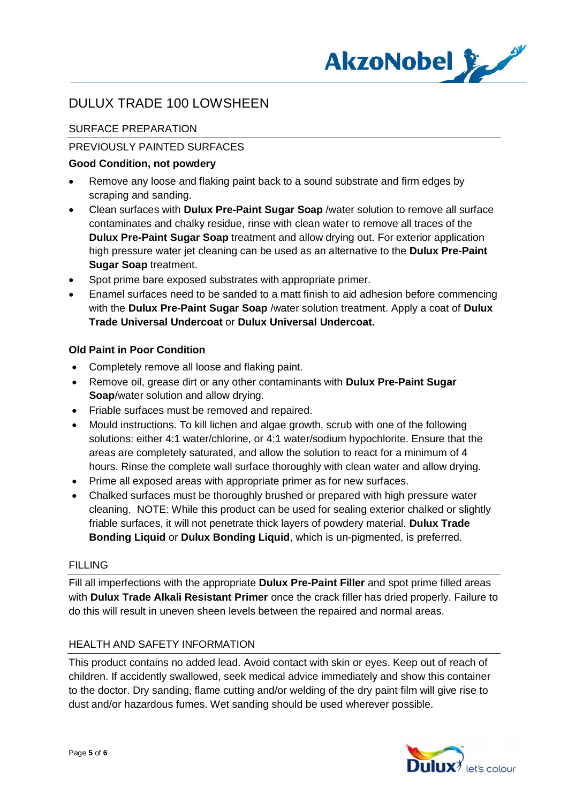

## SURFACE PREPARATION

### PREVIOUSLY PAINTED SURFACES

### **Good Condition, not powdery**

- · Remove any loose and flaking paint back to a sound substrate and firm edges by scraping and sanding.
- · Clean surfaces with **Dulux Pre-Paint Sugar Soap** /water solution to remove all surface contaminates and chalky residue, rinse with clean water to remove all traces of the **Dulux Pre-Paint Sugar Soap** treatment and allow drying out. For exterior application high pressure water jet cleaning can be used as an alternative to the **Dulux Pre-Paint Sugar Soap** treatment.
- Spot prime bare exposed substrates with appropriate primer.
- · Enamel surfaces need to be sanded to a matt finish to aid adhesion before commencing with the **Dulux Pre-Paint Sugar Soap** /water solution treatment. Apply a coat of **Dulux Trade Universal Undercoat** or **Dulux Universal Undercoat.**

### **Old Paint in Poor Condition**

- · Completely remove all loose and flaking paint.
- · Remove oil, grease dirt or any other contaminants with **Dulux Pre-Paint Sugar Soap**/water solution and allow drying.
- · Friable surfaces must be removed and repaired.
- · Mould instructions. To kill lichen and algae growth, scrub with one of the following solutions: either 4:1 water/chlorine, or 4:1 water/sodium hypochlorite. Ensure that the areas are completely saturated, and allow the solution to react for a minimum of 4 hours. Rinse the complete wall surface thoroughly with clean water and allow drying.
- · Prime all exposed areas with appropriate primer as for new surfaces.
- · Chalked surfaces must be thoroughly brushed or prepared with high pressure water cleaning. NOTE: While this product can be used for sealing exterior chalked or slightly friable surfaces, it will not penetrate thick layers of powdery material. **Dulux Trade Bonding Liquid** or **Dulux Bonding Liquid**, which is un-pigmented, is preferred.

#### **FILLING**

Fill all imperfections with the appropriate **Dulux Pre-Paint Filler** and spot prime filled areas with **Dulux Trade Alkali Resistant Primer** once the crack filler has dried properly. Failure to do this will result in uneven sheen levels between the repaired and normal areas.

#### HEALTH AND SAFETY INFORMATION

This product contains no added lead. Avoid contact with skin or eyes. Keep out of reach of children. If accidently swallowed, seek medical advice immediately and show this container to the doctor. Dry sanding, flame cutting and/or welding of the dry paint film will give rise to dust and/or hazardous fumes. Wet sanding should be used wherever possible.